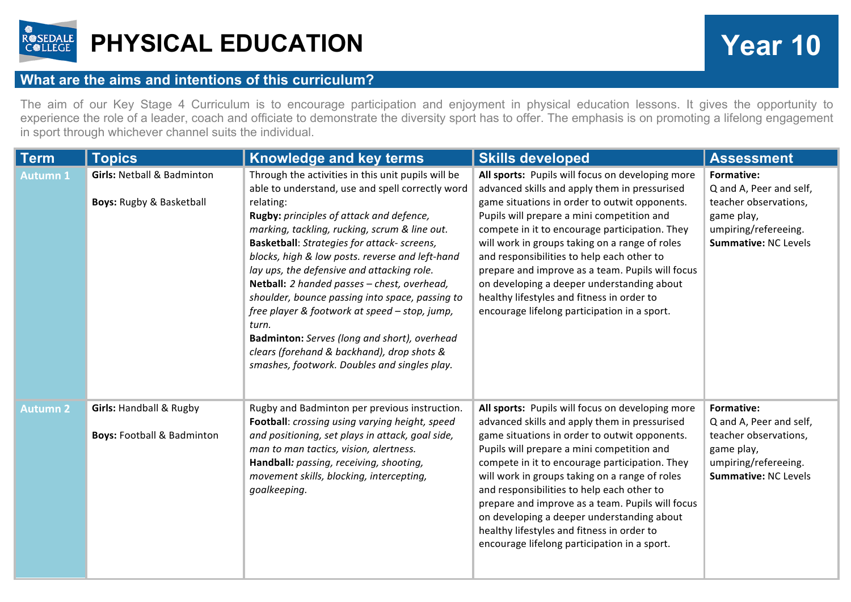

## **PHYSICAL EDUCATION Year 10**

## **What are the aims and intentions of this curriculum?**

The aim of our Key Stage 4 Curriculum is to encourage participation and enjoyment in physical education lessons. It gives the opportunity to experience the role of a leader, coach and officiate to demonstrate the diversity sport has to offer. The emphasis is on promoting a lifelong engagement in sport through whichever channel suits the individual.

| <b>Term</b>     | <b>Topics</b>                                                               | Knowledge and key terms                                                                                                                                                                                                                                                                                                                                                                                                                                                                                                                                                 | <b>Skills developed</b>                                                                                                                                                                                                                                                                                                                                                                                                                                                                                                                            | <b>Assessment</b>                                                                                                                   |
|-----------------|-----------------------------------------------------------------------------|-------------------------------------------------------------------------------------------------------------------------------------------------------------------------------------------------------------------------------------------------------------------------------------------------------------------------------------------------------------------------------------------------------------------------------------------------------------------------------------------------------------------------------------------------------------------------|----------------------------------------------------------------------------------------------------------------------------------------------------------------------------------------------------------------------------------------------------------------------------------------------------------------------------------------------------------------------------------------------------------------------------------------------------------------------------------------------------------------------------------------------------|-------------------------------------------------------------------------------------------------------------------------------------|
| <b>Autumn 1</b> | <b>Girls: Netball &amp; Badminton</b>                                       | Through the activities in this unit pupils will be<br>able to understand, use and spell correctly word                                                                                                                                                                                                                                                                                                                                                                                                                                                                  | All sports: Pupils will focus on developing more<br>advanced skills and apply them in pressurised                                                                                                                                                                                                                                                                                                                                                                                                                                                  | Formative:<br>Q and A, Peer and self,                                                                                               |
|                 | <b>Boys: Rugby &amp; Basketball</b>                                         | relating:<br>Rugby: principles of attack and defence,<br>marking, tackling, rucking, scrum & line out.<br><b>Basketball:</b> Strategies for attack- screens,<br>blocks, high & low posts. reverse and left-hand<br>lay ups, the defensive and attacking role.<br>Netball: 2 handed passes - chest, overhead,<br>shoulder, bounce passing into space, passing to<br>free player & footwork at speed - stop, jump,<br>turn.<br>Badminton: Serves (long and short), overhead<br>clears (forehand & backhand), drop shots &<br>smashes, footwork. Doubles and singles play. | game situations in order to outwit opponents.<br>Pupils will prepare a mini competition and<br>compete in it to encourage participation. They<br>will work in groups taking on a range of roles<br>and responsibilities to help each other to<br>prepare and improve as a team. Pupils will focus<br>on developing a deeper understanding about<br>healthy lifestyles and fitness in order to<br>encourage lifelong participation in a sport.                                                                                                      | teacher observations,<br>game play,<br>umpiring/refereeing.<br>Summative: NC Levels                                                 |
| <b>Autumn 2</b> | <b>Girls: Handball &amp; Rugby</b><br><b>Boys: Football &amp; Badminton</b> | Rugby and Badminton per previous instruction.<br>Football: crossing using varying height, speed<br>and positioning, set plays in attack, goal side,<br>man to man tactics, vision, alertness.<br>Handball: passing, receiving, shooting,<br>movement skills, blocking, intercepting,<br>goalkeeping.                                                                                                                                                                                                                                                                    | All sports: Pupils will focus on developing more<br>advanced skills and apply them in pressurised<br>game situations in order to outwit opponents.<br>Pupils will prepare a mini competition and<br>compete in it to encourage participation. They<br>will work in groups taking on a range of roles<br>and responsibilities to help each other to<br>prepare and improve as a team. Pupils will focus<br>on developing a deeper understanding about<br>healthy lifestyles and fitness in order to<br>encourage lifelong participation in a sport. | Formative:<br>Q and A, Peer and self,<br>teacher observations,<br>game play,<br>umpiring/refereeing.<br><b>Summative: NC Levels</b> |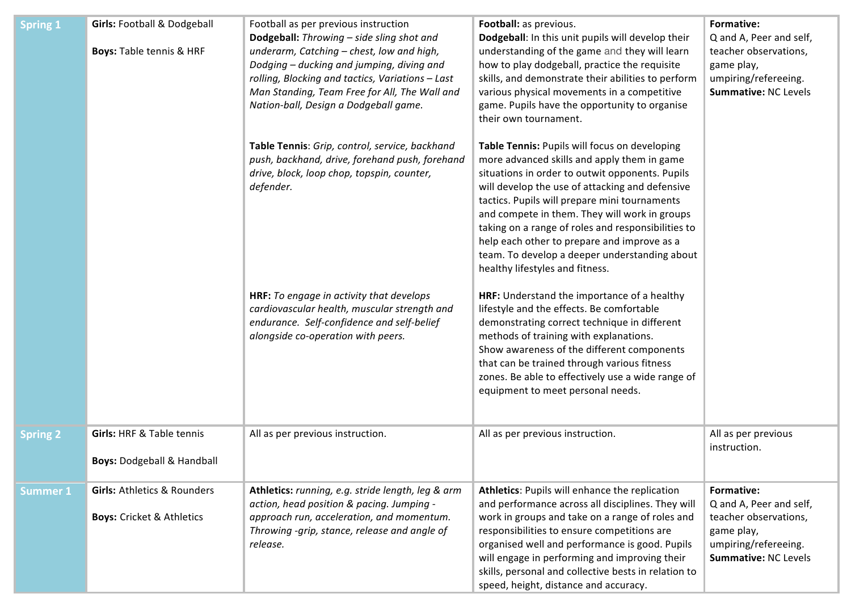| <b>Spring 1</b> | <b>Girls: Football &amp; Dodgeball</b><br><b>Boys: Table tennis &amp; HRF</b>  | Football as per previous instruction<br>Dodgeball: Throwing - side sling shot and<br>underarm, Catching - chest, low and high,<br>Dodging - ducking and jumping, diving and<br>rolling, Blocking and tactics, Variations - Last<br>Man Standing, Team Free for All, The Wall and<br>Nation-ball, Design a Dodgeball game.<br>Table Tennis: Grip, control, service, backhand<br>push, backhand, drive, forehand push, forehand<br>drive, block, loop chop, topspin, counter,<br>defender.<br>HRF: To engage in activity that develops<br>cardiovascular health, muscular strength and<br>endurance. Self-confidence and self-belief<br>alongside co-operation with peers. | Football: as previous.<br>Dodgeball: In this unit pupils will develop their<br>understanding of the game and they will learn<br>how to play dodgeball, practice the requisite<br>skills, and demonstrate their abilities to perform<br>various physical movements in a competitive<br>game. Pupils have the opportunity to organise<br>their own tournament.<br>Table Tennis: Pupils will focus on developing<br>more advanced skills and apply them in game<br>situations in order to outwit opponents. Pupils<br>will develop the use of attacking and defensive<br>tactics. Pupils will prepare mini tournaments<br>and compete in them. They will work in groups<br>taking on a range of roles and responsibilities to<br>help each other to prepare and improve as a<br>team. To develop a deeper understanding about<br>healthy lifestyles and fitness.<br>HRF: Understand the importance of a healthy<br>lifestyle and the effects. Be comfortable<br>demonstrating correct technique in different<br>methods of training with explanations.<br>Show awareness of the different components<br>that can be trained through various fitness<br>zones. Be able to effectively use a wide range of<br>equipment to meet personal needs. | Formative:<br>Q and A, Peer and self,<br>teacher observations,<br>game play,<br>umpiring/refereeing.<br>Summative: NC Levels |
|-----------------|--------------------------------------------------------------------------------|--------------------------------------------------------------------------------------------------------------------------------------------------------------------------------------------------------------------------------------------------------------------------------------------------------------------------------------------------------------------------------------------------------------------------------------------------------------------------------------------------------------------------------------------------------------------------------------------------------------------------------------------------------------------------|--------------------------------------------------------------------------------------------------------------------------------------------------------------------------------------------------------------------------------------------------------------------------------------------------------------------------------------------------------------------------------------------------------------------------------------------------------------------------------------------------------------------------------------------------------------------------------------------------------------------------------------------------------------------------------------------------------------------------------------------------------------------------------------------------------------------------------------------------------------------------------------------------------------------------------------------------------------------------------------------------------------------------------------------------------------------------------------------------------------------------------------------------------------------------------------------------------------------------------------------|------------------------------------------------------------------------------------------------------------------------------|
| <b>Spring 2</b> | <b>Girls: HRF &amp; Table tennis</b><br><b>Boys: Dodgeball &amp; Handball</b>  | All as per previous instruction.                                                                                                                                                                                                                                                                                                                                                                                                                                                                                                                                                                                                                                         | All as per previous instruction.                                                                                                                                                                                                                                                                                                                                                                                                                                                                                                                                                                                                                                                                                                                                                                                                                                                                                                                                                                                                                                                                                                                                                                                                           | All as per previous<br>instruction.                                                                                          |
| <b>Summer 1</b> | <b>Girls: Athletics &amp; Rounders</b><br><b>Boys: Cricket &amp; Athletics</b> | Athletics: running, e.g. stride length, leg & arm<br>action, head position & pacing. Jumping -<br>approach run, acceleration, and momentum.<br>Throwing -grip, stance, release and angle of<br>release.                                                                                                                                                                                                                                                                                                                                                                                                                                                                  | Athletics: Pupils will enhance the replication<br>and performance across all disciplines. They will<br>work in groups and take on a range of roles and<br>responsibilities to ensure competitions are<br>organised well and performance is good. Pupils<br>will engage in performing and improving their<br>skills, personal and collective bests in relation to<br>speed, height, distance and accuracy.                                                                                                                                                                                                                                                                                                                                                                                                                                                                                                                                                                                                                                                                                                                                                                                                                                  | Formative:<br>Q and A, Peer and self,<br>teacher observations,<br>game play,<br>umpiring/refereeing.<br>Summative: NC Levels |